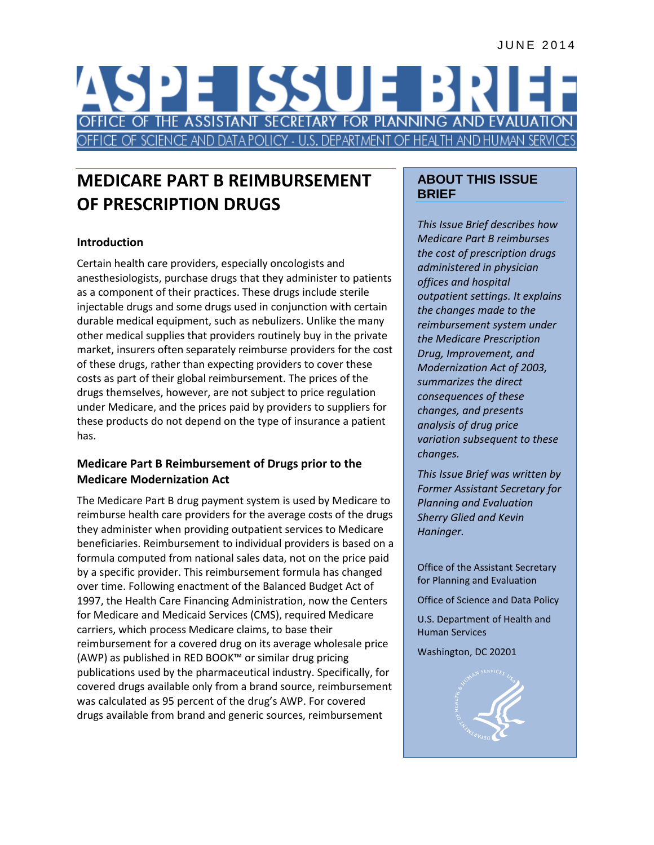# E ISSUE B FICE OF THE ASSISTANT SECRETARY FOR PLANNING AND EVALU CE OF SCIENCE AND DATA POLICY - U.S. DEPARTMENT OF HEALTH AND HUMAN

# **MEDICARE PART B REIMBURSEMENT OF PRESCRIPTION DRUGS**

# **Introduction**

Certain health care providers, especially oncologists and anesthesiologists, purchase drugs that they administer to patients as a component of their practices. These drugs include sterile injectable drugs and some drugs used in conjunction with certain durable medical equipment, such as nebulizers. Unlike the many other medical supplies that providers routinely buy in the private market, insurers often separately reimburse providers for the cost of these drugs, rather than expecting providers to cover these costs as part of their global reimbursement. The prices of the drugs themselves, however, are not subject to price regulation under Medicare, and the prices paid by providers to suppliers for these products do not depend on the type of insurance a patient has.

# **Medicare Part B Reimbursement of Drugs prior to the Medicare Modernization Act**

The Medicare Part B drug payment system is used by Medicare to reimburse health care providers for the average costs of the drugs they administer when providing outpatient services to Medicare beneficiaries. Reimbursement to individual providers is based on a formula computed from national sales data, not on the price paid by a specific provider. This reimbursement formula has changed over time. Following enactment of the Balanced Budget Act of 1997, the Health Care Financing Administration, now the Centers for Medicare and Medicaid Services (CMS), required Medicare carriers, which process Medicare claims, to base their reimbursement for a covered drug on its average wholesale price (AWP) as published in RED BOOK™ or similar drug pricing publications used by the pharmaceutical industry. Specifically, for covered drugs available only from a brand source, reimbursement was calculated as 95 percent of the drug's AWP. For covered drugs available from brand and generic sources, reimbursement

# **ABOUT THIS ISSUE BRIEF**

*This Issue Brief describes how Medicare Part B reimburses the cost of prescription drugs administered in physician offices and hospital outpatient settings. It explains the changes made to the reimbursement system under the Medicare Prescription Drug, Improvement, and Modernization Act of 2003, summarizes the direct consequences of these changes, and presents analysis of drug price variation subsequent to these changes.*

*This Issue Brief was written by Former Assistant Secretary for Planning and Evaluation Sherry Glied and Kevin Haninger.*

Office of the Assistant Secretary for Planning and Evaluation

Office of Science and Data Policy

U.S. Department of Health and Human Services

Washington, DC 20201

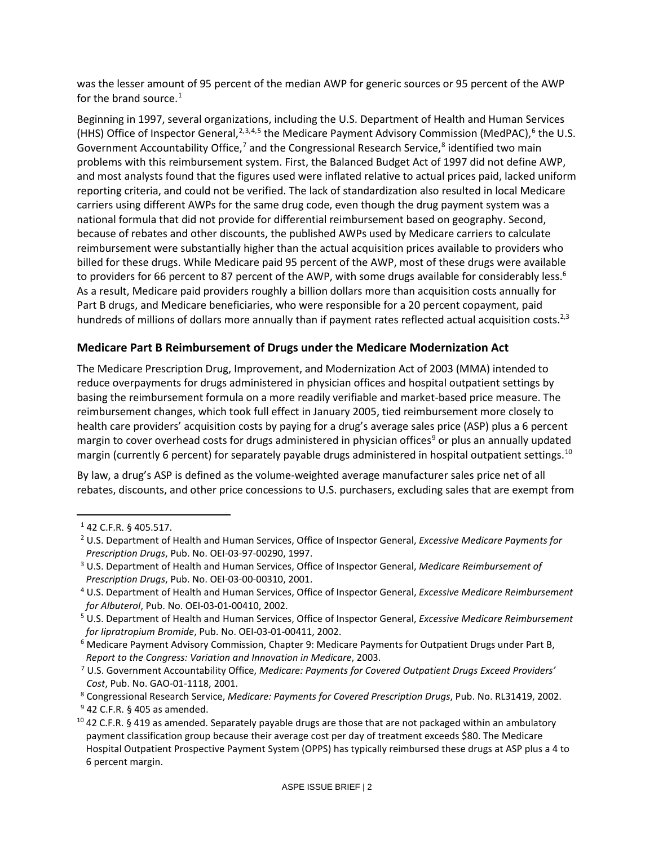was the lesser amount of 95 percent of the median AWP for generic sources or 95 percent of the AWP for the brand source. $1$ 

<span id="page-1-2"></span><span id="page-1-1"></span><span id="page-1-0"></span>Beginning in 1997, several organizations, including the U.S. Department of Health and Human Services (HHS) Office of Inspector General,  $2,3,4,5$  $2,3,4,5$  $2,3,4,5$  $2,3,4,5$  $2,3,4,5$  $2,3,4,5$  the Medicare Payment Advisory Commission (MedPAC), <sup>[6](#page-1-8)</sup> the U.S. Government Accountability Office,<sup>7</sup> and the Congressional Research Service, $8$  identified two main problems with this reimbursement system. First, the Balanced Budget Act of 1997 did not define AWP, and most analysts found that the figures used were inflated relative to actual prices paid, lacked uniform reporting criteria, and could not be verified. The lack of standardization also resulted in local Medicare carriers using different AWPs for the same drug code, even though the drug payment system was a national formula that did not provide for differential reimbursement based on geography. Second, because of rebates and other discounts, the published AWPs used by Medicare carriers to calculate reimbursement were substantially higher than the actual acquisition prices available to providers who billed for these drugs. While Medicare paid 95 percent of the AWP, most of these drugs were available to providers for 66 percent to 87 percent of the AWP, with some drugs available for considerably less.<sup>6</sup> As a result, Medicare paid providers roughly a billion dollars more than acquisition costs annually for Part B drugs, and Medicare beneficiaries, who were responsible for a 20 percent copayment, paid hundreds of millions of dollars more annually than if payment rates reflected actual acquisition costs.<sup>[2,](#page-1-1)[3](#page-1-2)</sup>

#### **Medicare Part B Reimbursement of Drugs under the Medicare Modernization Act**

The Medicare Prescription Drug, Improvement, and Modernization Act of 2003 (MMA) intended to reduce overpayments for drugs administered in physician offices and hospital outpatient settings by basing the reimbursement formula on a more readily verifiable and market-based price measure. The reimbursement changes, which took full effect in January 2005, tied reimbursement more closely to health care providers' acquisition costs by paying for a drug's average sales price (ASP) plus a 6 percent margin to cover overhead costs for drugs administered in physician offices<sup>[9](#page-1-11)</sup> or plus an annually updated margin (currently 6 percent) for separately payable drugs administered in hospital outpatient settings.<sup>[10](#page-1-12)</sup>

By law, a drug's ASP is defined as the volume-weighted average manufacturer sales price net of all rebates, discounts, and other price concessions to U.S. purchasers, excluding sales that are exempt from

<span id="page-1-3"></span>l

<sup>1</sup> 42 C.F.R. § 405.517.

<span id="page-1-4"></span><sup>2</sup> U.S. Department of Health and Human Services, Office of Inspector General, *Excessive Medicare Payments for Prescription Drugs*, Pub. No. OEI-03-97-00290, 1997.

<span id="page-1-5"></span><sup>3</sup> U.S. Department of Health and Human Services, Office of Inspector General, *Medicare Reimbursement of Prescription Drugs*, Pub. No. OEI-03-00-00310, 2001.

<span id="page-1-6"></span><sup>4</sup> U.S. Department of Health and Human Services, Office of Inspector General, *Excessive Medicare Reimbursement for Albuterol*, Pub. No. OEI-03-01-00410, 2002.

<span id="page-1-7"></span><sup>5</sup> U.S. Department of Health and Human Services, Office of Inspector General, *Excessive Medicare Reimbursement for Iipratropium Bromide*, Pub. No. OEI-03-01-00411, 2002.

<span id="page-1-8"></span><sup>6</sup> Medicare Payment Advisory Commission, Chapter 9: Medicare Payments for Outpatient Drugs under Part B, *Report to the Congress: Variation and Innovation in Medicare*, 2003.

<span id="page-1-9"></span><sup>7</sup> U.S. Government Accountability Office, *Medicare: Payments for Covered Outpatient Drugs Exceed Providers' Cost*, Pub. No. GAO-01-1118, 2001.

<span id="page-1-10"></span><sup>8</sup> Congressional Research Service, *Medicare: Payments for Covered Prescription Drugs*, Pub. No. RL31419, 2002.

 $9$  42 C.F.R. § 405 as amended.

<span id="page-1-12"></span><span id="page-1-11"></span> $10$  42 C.F.R. § 419 as amended. Separately payable drugs are those that are not packaged within an ambulatory payment classification group because their average cost per day of treatment exceeds \$80. The Medicare Hospital Outpatient Prospective Payment System (OPPS) has typically reimbursed these drugs at ASP plus a 4 to 6 percent margin.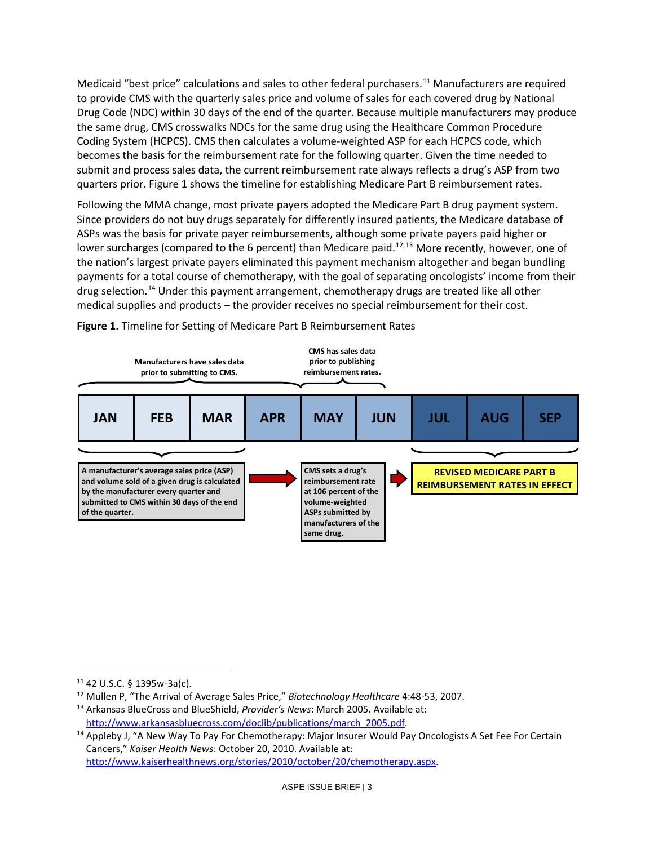Medicaid "best price" calculations and sales to other federal purchasers.<sup>[11](#page-2-0)</sup> Manufacturers are required to provide CMS with the quarterly sales price and volume of sales for each covered drug by National Drug Code (NDC) within 30 days of the end of the quarter. Because multiple manufacturers may produce the same drug, CMS crosswalks NDCs for the same drug using the Healthcare Common Procedure Coding System (HCPCS). CMS then calculates a volume-weighted ASP for each HCPCS code, which becomes the basis for the reimbursement rate for the following quarter. Given the time needed to submit and process sales data, the current reimbursement rate always reflects a drug's ASP from two quarters prior. Figure 1 shows the timeline for establishing Medicare Part B reimbursement rates.

Following the MMA change, most private payers adopted the Medicare Part B drug payment system. Since providers do not buy drugs separately for differently insured patients, the Medicare database of ASPs was the basis for private payer reimbursements, although some private payers paid higher or lower surcharges (compared to the 6 percent) than Medicare paid.<sup>[12,](#page-2-1)[13](#page-2-2)</sup> More recently, however, one of the nation's largest private payers eliminated this payment mechanism altogether and began bundling payments for a total course of chemotherapy, with the goal of separating oncologists' income from their drug selection.<sup>[14](#page-2-3)</sup> Under this payment arrangement, chemotherapy drugs are treated like all other medical supplies and products – the provider receives no special reimbursement for their cost.



**Figure 1.** Timeline for Setting of Medicare Part B Reimbursement Rates

 $\overline{\phantom{a}}$ 

<span id="page-2-0"></span><sup>11</sup> 42 U.S.C. § 1395w-3a(c).

<span id="page-2-1"></span><sup>12</sup> Mullen P, "The Arrival of Average Sales Price," *Biotechnology Healthcare* 4:48-53, 2007.

<span id="page-2-2"></span><sup>13</sup> Arkansas BlueCross and BlueShield, *Provider's News*: March 2005. Available at: [http://www.arkansasbluecross.com/doclib/publications/march\\_2005.pdf.](http://www.arkansasbluecross.com/doclib/publications/march_2005.pdf)

<span id="page-2-3"></span><sup>&</sup>lt;sup>14</sup> Appleby J, "A New Way To Pay For Chemotherapy: Major Insurer Would Pay Oncologists A Set Fee For Certain Cancers," *Kaiser Health News*: October 20, 2010. Available at: [http://www.kaiserhealthnews.org/stories/2010/october/20/chemotherapy.aspx.](http://www.kaiserhealthnews.org/stories/2010/october/20/chemotherapy.aspx)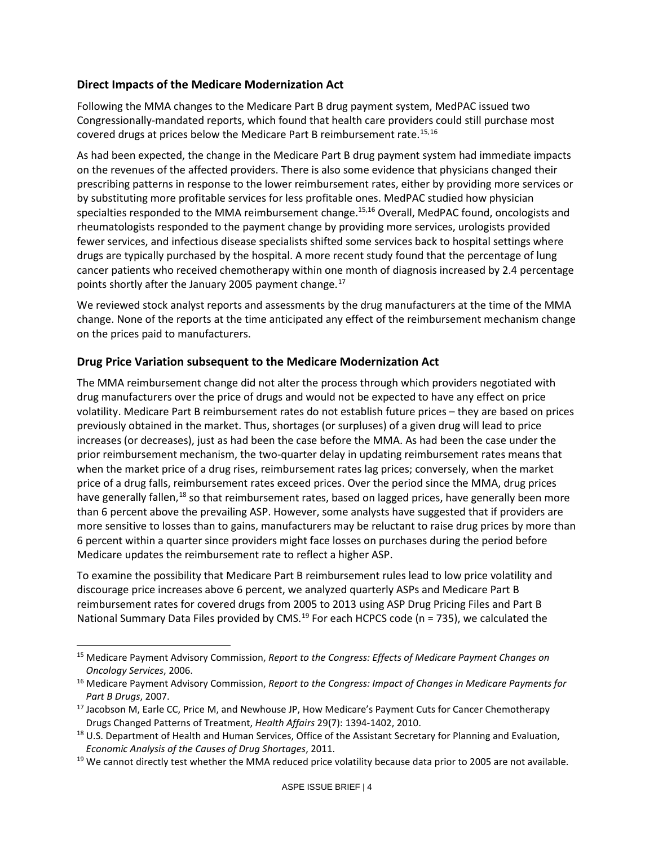#### **Direct Impacts of the Medicare Modernization Act**

Following the MMA changes to the Medicare Part B drug payment system, MedPAC issued two Congressionally-mandated reports, which found that health care providers could still purchase most covered drugs at prices below the Medicare Part B reimbursement rate.<sup>[15,](#page-3-2)[16](#page-3-3)</sup>

<span id="page-3-1"></span><span id="page-3-0"></span>As had been expected, the change in the Medicare Part B drug payment system had immediate impacts on the revenues of the affected providers. There is also some evidence that physicians changed their prescribing patterns in response to the lower reimbursement rates, either by providing more services or by substituting more profitable services for less profitable ones. MedPAC studied how physician specialties responded to the MMA reimbursement change.<sup>[15,](#page-3-0)[16](#page-3-1)</sup> Overall, MedPAC found, oncologists and rheumatologists responded to the payment change by providing more services, urologists provided fewer services, and infectious disease specialists shifted some services back to hospital settings where drugs are typically purchased by the hospital. A more recent study found that the percentage of lung cancer patients who received chemotherapy within one month of diagnosis increased by 2.4 percentage points shortly after the January 2005 payment change. [17](#page-3-4)

We reviewed stock analyst reports and assessments by the drug manufacturers at the time of the MMA change. None of the reports at the time anticipated any effect of the reimbursement mechanism change on the prices paid to manufacturers.

#### **Drug Price Variation subsequent to the Medicare Modernization Act**

 $\overline{\phantom{a}}$ 

The MMA reimbursement change did not alter the process through which providers negotiated with drug manufacturers over the price of drugs and would not be expected to have any effect on price volatility. Medicare Part B reimbursement rates do not establish future prices – they are based on prices previously obtained in the market. Thus, shortages (or surpluses) of a given drug will lead to price increases (or decreases), just as had been the case before the MMA. As had been the case under the prior reimbursement mechanism, the two-quarter delay in updating reimbursement rates means that when the market price of a drug rises, reimbursement rates lag prices; conversely, when the market price of a drug falls, reimbursement rates exceed prices. Over the period since the MMA, drug prices have generally fallen,<sup>[18](#page-3-5)</sup> so that reimbursement rates, based on lagged prices, have generally been more than 6 percent above the prevailing ASP. However, some analysts have suggested that if providers are more sensitive to losses than to gains, manufacturers may be reluctant to raise drug prices by more than 6 percent within a quarter since providers might face losses on purchases during the period before Medicare updates the reimbursement rate to reflect a higher ASP.

To examine the possibility that Medicare Part B reimbursement rules lead to low price volatility and discourage price increases above 6 percent, we analyzed quarterly ASPs and Medicare Part B reimbursement rates for covered drugs from 2005 to 2013 using ASP Drug Pricing Files and Part B National Summary Data Files provided by CMS.<sup>[19](#page-3-6)</sup> For each HCPCS code (n = 735), we calculated the

<span id="page-3-2"></span><sup>15</sup> Medicare Payment Advisory Commission, *Report to the Congress: Effects of Medicare Payment Changes on Oncology Services*, 2006.

<span id="page-3-3"></span><sup>16</sup> Medicare Payment Advisory Commission, *Report to the Congress: Impact of Changes in Medicare Payments for Part B Drugs*, 2007.

<span id="page-3-4"></span><sup>&</sup>lt;sup>17</sup> Jacobson M, Earle CC, Price M, and Newhouse JP, How Medicare's Payment Cuts for Cancer Chemotherapy Drugs Changed Patterns of Treatment, *Health Affairs* 29(7): 1394-1402, 2010.

<span id="page-3-5"></span><sup>&</sup>lt;sup>18</sup> U.S. Department of Health and Human Services, Office of the Assistant Secretary for Planning and Evaluation, *Economic Analysis of the Causes of Drug Shortages*, 2011.

<span id="page-3-6"></span> $19$  We cannot directly test whether the MMA reduced price volatility because data prior to 2005 are not available.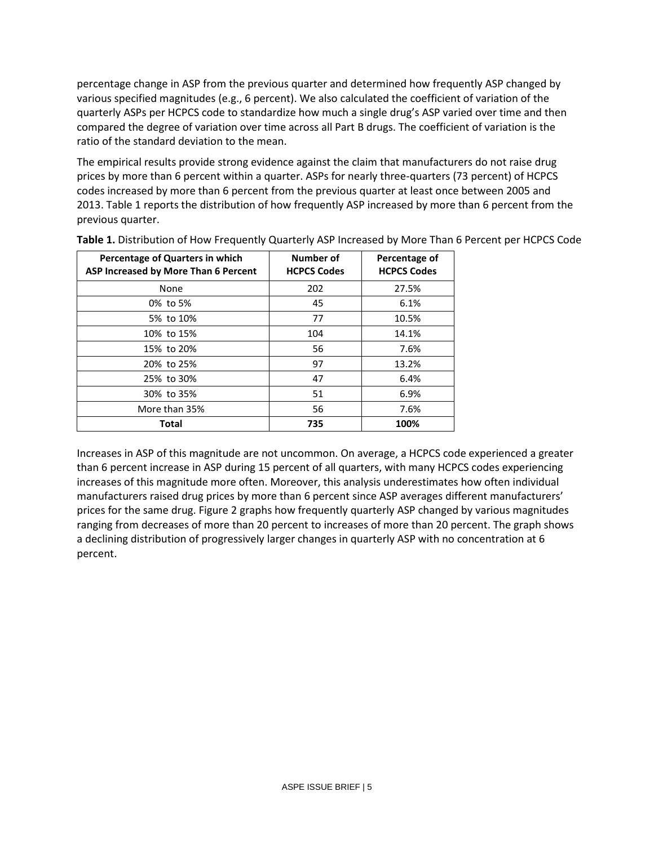percentage change in ASP from the previous quarter and determined how frequently ASP changed by various specified magnitudes (e.g., 6 percent). We also calculated the coefficient of variation of the quarterly ASPs per HCPCS code to standardize how much a single drug's ASP varied over time and then compared the degree of variation over time across all Part B drugs. The coefficient of variation is the ratio of the standard deviation to the mean.

The empirical results provide strong evidence against the claim that manufacturers do not raise drug prices by more than 6 percent within a quarter. ASPs for nearly three-quarters (73 percent) of HCPCS codes increased by more than 6 percent from the previous quarter at least once between 2005 and 2013. Table 1 reports the distribution of how frequently ASP increased by more than 6 percent from the previous quarter.

| Percentage of Quarters in which<br>ASP Increased by More Than 6 Percent | Number of<br><b>HCPCS Codes</b> | Percentage of<br><b>HCPCS Codes</b> |
|-------------------------------------------------------------------------|---------------------------------|-------------------------------------|
| None                                                                    | 202                             | 27.5%                               |
| 0% to 5%                                                                | 45                              | 6.1%                                |
| 5% to 10%                                                               | 77                              | 10.5%                               |
| 10% to 15%                                                              | 104                             | 14.1%                               |
| 15% to 20%                                                              | 56                              | 7.6%                                |
| 20% to 25%                                                              | 97                              | 13.2%                               |
| 25% to 30%                                                              | 47                              | 6.4%                                |
| 30% to 35%                                                              | 51                              | 6.9%                                |
| More than 35%                                                           | 56                              | 7.6%                                |
| <b>Total</b>                                                            | 735                             | 100%                                |

**Table 1.** Distribution of How Frequently Quarterly ASP Increased by More Than 6 Percent per HCPCS Code

Increases in ASP of this magnitude are not uncommon. On average, a HCPCS code experienced a greater than 6 percent increase in ASP during 15 percent of all quarters, with many HCPCS codes experiencing increases of this magnitude more often. Moreover, this analysis underestimates how often individual manufacturers raised drug prices by more than 6 percent since ASP averages different manufacturers' prices for the same drug. Figure 2 graphs how frequently quarterly ASP changed by various magnitudes ranging from decreases of more than 20 percent to increases of more than 20 percent. The graph shows a declining distribution of progressively larger changes in quarterly ASP with no concentration at 6 percent.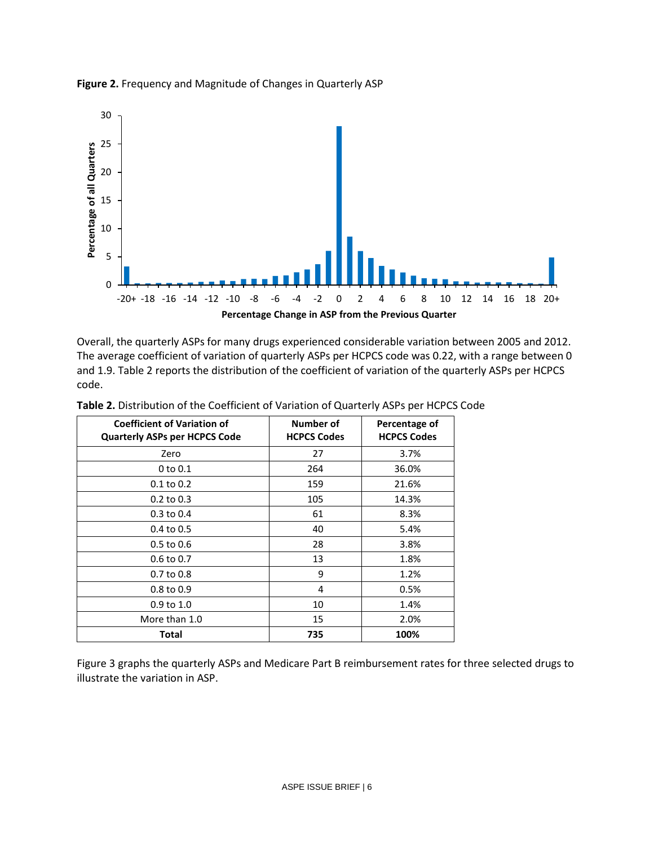

# **Figure 2.** Frequency and Magnitude of Changes in Quarterly ASP

Overall, the quarterly ASPs for many drugs experienced considerable variation between 2005 and 2012. The average coefficient of variation of quarterly ASPs per HCPCS code was 0.22, with a range between 0 and 1.9. Table 2 reports the distribution of the coefficient of variation of the quarterly ASPs per HCPCS code.

| <b>Coefficient of Variation of</b><br><b>Quarterly ASPs per HCPCS Code</b> | Number of<br><b>HCPCS Codes</b> | Percentage of<br><b>HCPCS Codes</b> |
|----------------------------------------------------------------------------|---------------------------------|-------------------------------------|
| Zero                                                                       | 27                              | 3.7%                                |
| $0$ to $0.1$                                                               | 264                             | 36.0%                               |
| $0.1$ to $0.2$                                                             | 159                             | 21.6%                               |
| $0.2$ to $0.3$                                                             | 105                             | 14.3%                               |
| $0.3$ to $0.4$                                                             | 61                              | 8.3%                                |
| 0.4 to 0.5                                                                 | 40                              | 5.4%                                |
| $0.5$ to $0.6$                                                             | 28                              | 3.8%                                |
| 0.6 to 0.7                                                                 | 13                              | 1.8%                                |
| $0.7$ to $0.8$                                                             | 9                               | 1.2%                                |
| $0.8 \text{ to } 0.9$                                                      | 4                               | 0.5%                                |
| $0.9$ to $1.0$                                                             | 10                              | 1.4%                                |
| More than 1.0                                                              | 15                              | 2.0%                                |
| Total                                                                      | 735                             | 100%                                |

**Table 2.** Distribution of the Coefficient of Variation of Quarterly ASPs per HCPCS Code

Figure 3 graphs the quarterly ASPs and Medicare Part B reimbursement rates for three selected drugs to illustrate the variation in ASP.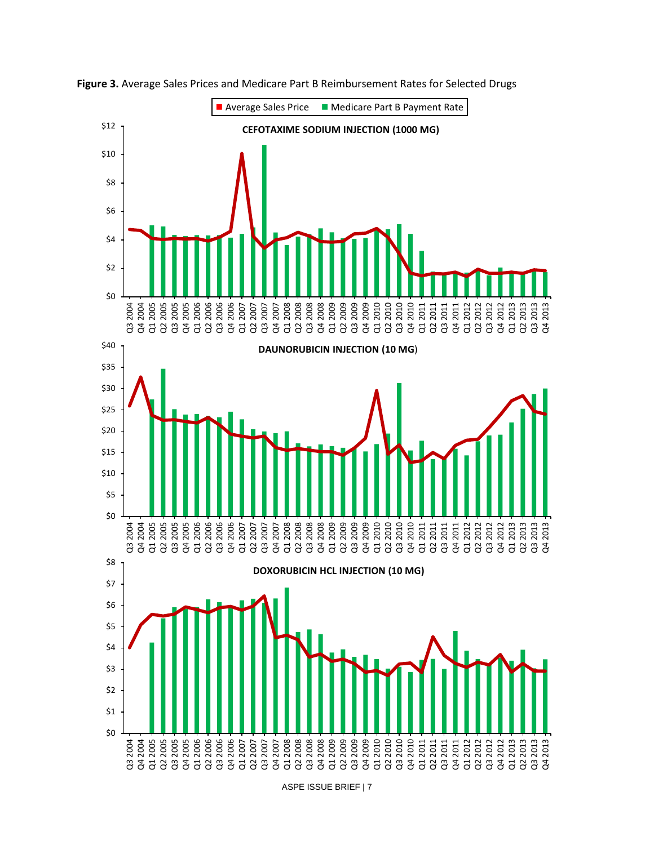

**Figure 3.** Average Sales Prices and Medicare Part B Reimbursement Rates for Selected Drugs

ASPE ISSUE BRIEF | 7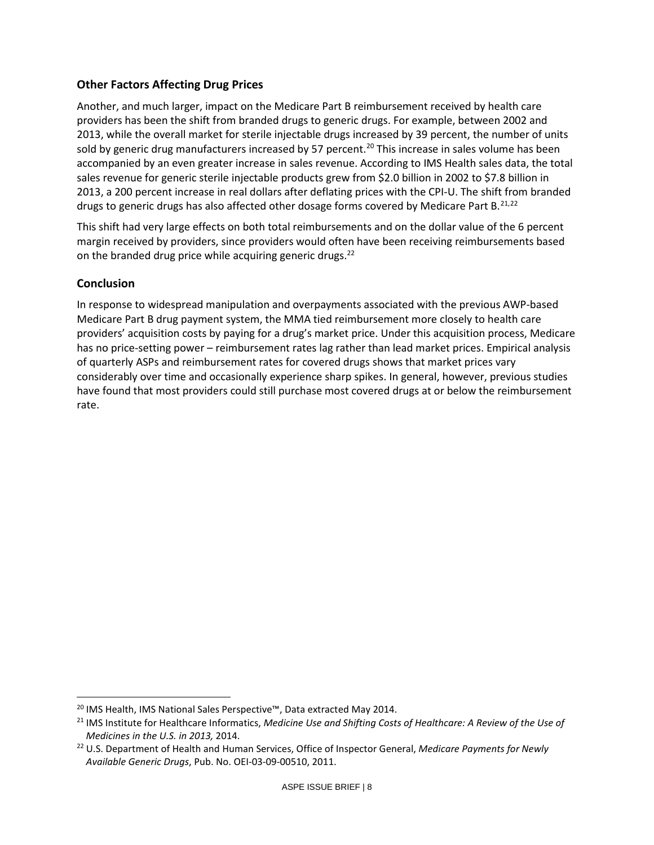#### **Other Factors Affecting Drug Prices**

Another, and much larger, impact on the Medicare Part B reimbursement received by health care providers has been the shift from branded drugs to generic drugs. For example, between 2002 and 2013, while the overall market for sterile injectable drugs increased by 39 percent, the number of units sold by generic drug manufacturers increased by 57 percent.<sup>[20](#page-7-1)</sup> This increase in sales volume has been accompanied by an even greater increase in sales revenue. According to IMS Health sales data, the total sales revenue for generic sterile injectable products grew from \$2.0 billion in 2002 to \$7.8 billion in 2013, a 200 percent increase in real dollars after deflating prices with the CPI-U. The shift from branded drugs to generic drugs has also affected other dosage forms covered by Medicare Part B.<sup>[21,](#page-7-2)[22](#page-7-3)</sup>

<span id="page-7-0"></span>This shift had very large effects on both total reimbursements and on the dollar value of the 6 percent margin received by providers, since providers would often have been receiving reimbursements based on the branded drug price while acquiring generic drugs.<sup>[22](#page-7-0)</sup>

#### **Conclusion**

 $\overline{\phantom{a}}$ 

In response to widespread manipulation and overpayments associated with the previous AWP-based Medicare Part B drug payment system, the MMA tied reimbursement more closely to health care providers' acquisition costs by paying for a drug's market price. Under this acquisition process, Medicare has no price-setting power – reimbursement rates lag rather than lead market prices. Empirical analysis of quarterly ASPs and reimbursement rates for covered drugs shows that market prices vary considerably over time and occasionally experience sharp spikes. In general, however, previous studies have found that most providers could still purchase most covered drugs at or below the reimbursement rate.

<span id="page-7-1"></span><sup>&</sup>lt;sup>20</sup> IMS Health, IMS National Sales Perspective™, Data extracted May 2014.

<span id="page-7-2"></span><sup>21</sup> IMS Institute for Healthcare Informatics, *Medicine Use and Shifting Costs of Healthcare: A Review of the Use of Medicines in the U.S. in 2013,* 2014.

<span id="page-7-3"></span><sup>22</sup> U.S. Department of Health and Human Services, Office of Inspector General, *Medicare Payments for Newly Available Generic Drugs*, Pub. No. OEI-03-09-00510, 2011.